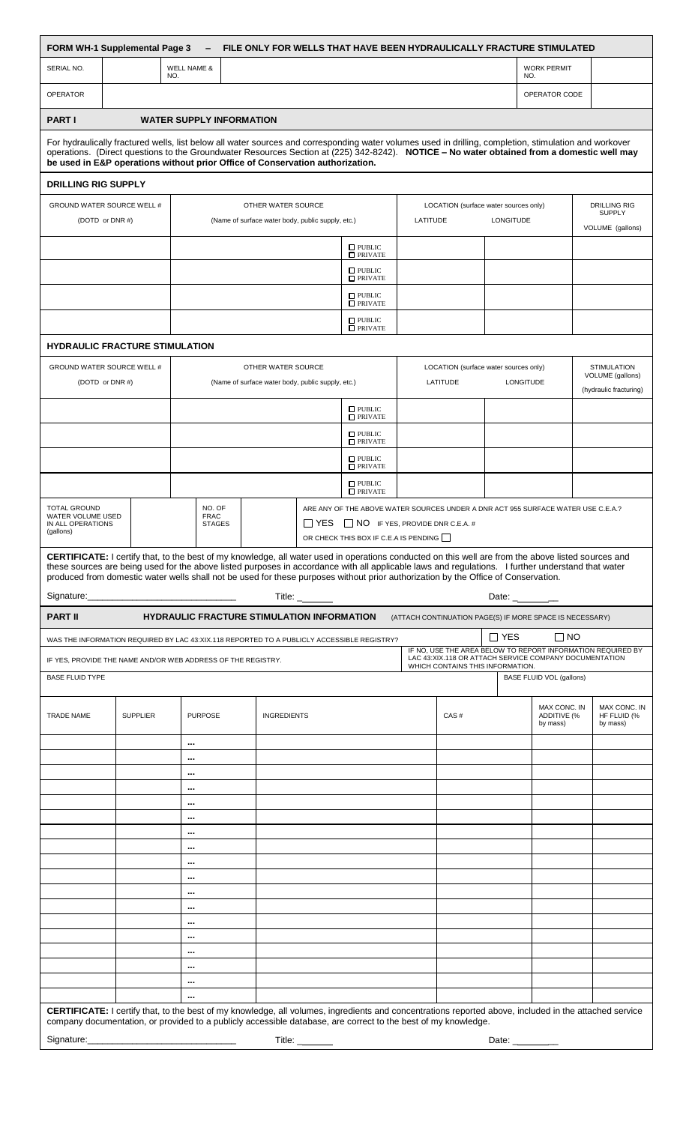| <b>FORM WH-1 Supplemental Page 3</b><br>FILE ONLY FOR WELLS THAT HAVE BEEN HYDRAULICALLY FRACTURE STIMULATED<br>$\qquad \qquad \blacksquare$                                                                                                                                                                                                                                                                                                                                                                                                       |                                                   |                                                   |                                        |                                                   |                    |                                                                                                                                                                                |  |                                       |              |                                                                                                                                                           |                                                                             |                                            |
|----------------------------------------------------------------------------------------------------------------------------------------------------------------------------------------------------------------------------------------------------------------------------------------------------------------------------------------------------------------------------------------------------------------------------------------------------------------------------------------------------------------------------------------------------|---------------------------------------------------|---------------------------------------------------|----------------------------------------|---------------------------------------------------|--------------------|--------------------------------------------------------------------------------------------------------------------------------------------------------------------------------|--|---------------------------------------|--------------|-----------------------------------------------------------------------------------------------------------------------------------------------------------|-----------------------------------------------------------------------------|--------------------------------------------|
| SERIAL NO.                                                                                                                                                                                                                                                                                                                                                                                                                                                                                                                                         |                                                   | <b>WELL NAME &amp;</b><br>NO.                     |                                        |                                                   |                    |                                                                                                                                                                                |  |                                       |              | NO.                                                                                                                                                       | <b>WORK PERMIT</b>                                                          |                                            |
| <b>OPERATOR</b>                                                                                                                                                                                                                                                                                                                                                                                                                                                                                                                                    |                                                   |                                                   |                                        |                                                   |                    |                                                                                                                                                                                |  |                                       |              |                                                                                                                                                           | OPERATOR CODE                                                               |                                            |
| <b>PART I</b>                                                                                                                                                                                                                                                                                                                                                                                                                                                                                                                                      |                                                   |                                                   | <b>WATER SUPPLY INFORMATION</b>        |                                                   |                    |                                                                                                                                                                                |  |                                       |              |                                                                                                                                                           |                                                                             |                                            |
| For hydraulically fractured wells, list below all water sources and corresponding water volumes used in drilling, completion, stimulation and workover<br>operations. (Direct questions to the Groundwater Resources Section at (225) 342-8242). NOTICE - No water obtained from a domestic well may<br>be used in E&P operations without prior Office of Conservation authorization.                                                                                                                                                              |                                                   |                                                   |                                        |                                                   |                    |                                                                                                                                                                                |  |                                       |              |                                                                                                                                                           |                                                                             |                                            |
| <b>DRILLING RIG SUPPLY</b>                                                                                                                                                                                                                                                                                                                                                                                                                                                                                                                         |                                                   |                                                   |                                        |                                                   |                    |                                                                                                                                                                                |  |                                       |              |                                                                                                                                                           |                                                                             |                                            |
| GROUND WATER SOURCE WELL #<br>OTHER WATER SOURCE<br>LOCATION (surface water sources only)                                                                                                                                                                                                                                                                                                                                                                                                                                                          |                                                   |                                                   |                                        |                                                   |                    |                                                                                                                                                                                |  |                                       |              |                                                                                                                                                           | <b>DRILLING RIG</b>                                                         |                                            |
| (DOTD or DNR#)                                                                                                                                                                                                                                                                                                                                                                                                                                                                                                                                     | (Name of surface water body, public supply, etc.) |                                                   |                                        |                                                   |                    | <b>LONGITUDE</b><br>LATITUDE                                                                                                                                                   |  |                                       |              | <b>SUPPLY</b><br>VOLUME (gallons)                                                                                                                         |                                                                             |                                            |
|                                                                                                                                                                                                                                                                                                                                                                                                                                                                                                                                                    |                                                   |                                                   |                                        |                                                   |                    | $\Box$ PUBLIC<br>$\Box$ PRIVATE                                                                                                                                                |  |                                       |              |                                                                                                                                                           |                                                                             |                                            |
|                                                                                                                                                                                                                                                                                                                                                                                                                                                                                                                                                    |                                                   |                                                   |                                        |                                                   |                    | $\Box$ PUBLIC<br>$\Box$ PRIVATE                                                                                                                                                |  |                                       |              |                                                                                                                                                           |                                                                             |                                            |
|                                                                                                                                                                                                                                                                                                                                                                                                                                                                                                                                                    |                                                   |                                                   |                                        |                                                   |                    | $\Box$ PUBLIC<br>$\Box$ PRIVATE                                                                                                                                                |  |                                       |              |                                                                                                                                                           |                                                                             |                                            |
|                                                                                                                                                                                                                                                                                                                                                                                                                                                                                                                                                    |                                                   |                                                   |                                        |                                                   |                    | $\Box$ PUBLIC<br>$\Box$ PRIVATE                                                                                                                                                |  |                                       |              |                                                                                                                                                           |                                                                             |                                            |
| <b>HYDRAULIC FRACTURE STIMULATION</b>                                                                                                                                                                                                                                                                                                                                                                                                                                                                                                              |                                                   |                                                   |                                        |                                                   |                    |                                                                                                                                                                                |  |                                       |              |                                                                                                                                                           |                                                                             |                                            |
| GROUND WATER SOURCE WELL #                                                                                                                                                                                                                                                                                                                                                                                                                                                                                                                         |                                                   |                                                   |                                        |                                                   | OTHER WATER SOURCE |                                                                                                                                                                                |  | LOCATION (surface water sources only) |              |                                                                                                                                                           | <b>STIMULATION</b>                                                          |                                            |
| (DOTD or DNR#)                                                                                                                                                                                                                                                                                                                                                                                                                                                                                                                                     |                                                   | (Name of surface water body, public supply, etc.) |                                        |                                                   |                    |                                                                                                                                                                                |  | LATITUDE                              |              | LONGITUDE                                                                                                                                                 |                                                                             | VOLUME (gallons)<br>(hydraulic fracturing) |
|                                                                                                                                                                                                                                                                                                                                                                                                                                                                                                                                                    |                                                   |                                                   |                                        |                                                   |                    | $\Box$ PUBLIC<br>$\Box$ PRIVATE                                                                                                                                                |  |                                       |              |                                                                                                                                                           |                                                                             |                                            |
|                                                                                                                                                                                                                                                                                                                                                                                                                                                                                                                                                    |                                                   |                                                   |                                        |                                                   |                    | $\Box$ PUBLIC<br>$\Box$ PRIVATE                                                                                                                                                |  |                                       |              |                                                                                                                                                           |                                                                             |                                            |
|                                                                                                                                                                                                                                                                                                                                                                                                                                                                                                                                                    |                                                   |                                                   |                                        |                                                   |                    | $\Box$ PUBLIC<br>$\Box$ PRIVATE                                                                                                                                                |  |                                       |              |                                                                                                                                                           |                                                                             |                                            |
|                                                                                                                                                                                                                                                                                                                                                                                                                                                                                                                                                    |                                                   |                                                   |                                        |                                                   |                    | $\square$ PUBLIC<br>$\Box$ PRIVATE                                                                                                                                             |  |                                       |              |                                                                                                                                                           |                                                                             |                                            |
| <b>TOTAL GROUND</b><br><b>WATER VOLUME USED</b><br>IN ALL OPERATIONS<br>(gallons)<br>CERTIFICATE: I certify that, to the best of my knowledge, all water used in operations conducted on this well are from the above listed sources and<br>these sources are being used for the above listed purposes in accordance with all applicable laws and regulations. I further understand that water<br>produced from domestic water wells shall not be used for these purposes without prior authorization by the Office of Conservation.<br>Signature: |                                                   |                                                   | NO. OF<br><b>FRAC</b><br><b>STAGES</b> |                                                   |                    | ARE ANY OF THE ABOVE WATER SOURCES UNDER A DNR ACT 955 SURFACE WATER USE C.E.A.?<br>$\Box$ YES $\Box$ NO IF YES, PROVIDE DNR C.E.A. #<br>OR CHECK THIS BOX IF C.E.A IS PENDING |  |                                       |              |                                                                                                                                                           |                                                                             |                                            |
| <b>PART II</b>                                                                                                                                                                                                                                                                                                                                                                                                                                                                                                                                     |                                                   |                                                   |                                        | <b>HYDRAULIC FRACTURE STIMULATION INFORMATION</b> | Title: $\_\_$      |                                                                                                                                                                                |  |                                       |              |                                                                                                                                                           | Date: _________<br>(ATTACH CONTINUATION PAGE(S) IF MORE SPACE IS NECESSARY) |                                            |
|                                                                                                                                                                                                                                                                                                                                                                                                                                                                                                                                                    |                                                   |                                                   |                                        |                                                   |                    |                                                                                                                                                                                |  |                                       | $\Box$ YES   |                                                                                                                                                           | $\Box$ NO                                                                   |                                            |
| WAS THE INFORMATION REQUIRED BY LAC 43:XIX.118 REPORTED TO A PUBLICLY ACCESSIBLE REGISTRY?<br>IF YES, PROVIDE THE NAME AND/OR WEB ADDRESS OF THE REGISTRY.                                                                                                                                                                                                                                                                                                                                                                                         |                                                   |                                                   |                                        |                                                   |                    |                                                                                                                                                                                |  |                                       |              | IF NO, USE THE AREA BELOW TO REPORT INFORMATION REQUIRED BY<br>LAC 43:XIX.118 OR ATTACH SERVICE COMPANY DOCUMENTATION<br>WHICH CONTAINS THIS INFORMATION. |                                                                             |                                            |
| <b>BASE FLUID TYPE</b>                                                                                                                                                                                                                                                                                                                                                                                                                                                                                                                             |                                                   |                                                   |                                        |                                                   |                    |                                                                                                                                                                                |  |                                       |              | <b>BASE FLUID VOL (gallons)</b>                                                                                                                           |                                                                             |                                            |
| <b>TRADE NAME</b>                                                                                                                                                                                                                                                                                                                                                                                                                                                                                                                                  | <b>SUPPLIER</b>                                   |                                                   | <b>PURPOSE</b>                         |                                                   | <b>INGREDIENTS</b> |                                                                                                                                                                                |  | CAS#                                  |              | MAX CONC. IN<br>ADDITIVE (%<br>by mass)                                                                                                                   |                                                                             | MAX CONC. IN<br>HF FLUID (%<br>by mass)    |
|                                                                                                                                                                                                                                                                                                                                                                                                                                                                                                                                                    |                                                   | $\cdots$<br>                                      |                                        |                                                   |                    |                                                                                                                                                                                |  |                                       |              |                                                                                                                                                           |                                                                             |                                            |
|                                                                                                                                                                                                                                                                                                                                                                                                                                                                                                                                                    |                                                   | $\cdots$                                          |                                        |                                                   |                    |                                                                                                                                                                                |  |                                       |              |                                                                                                                                                           |                                                                             |                                            |
|                                                                                                                                                                                                                                                                                                                                                                                                                                                                                                                                                    |                                                   | $\cdots$<br>$\cdots$                              |                                        |                                                   |                    |                                                                                                                                                                                |  |                                       |              |                                                                                                                                                           |                                                                             |                                            |
|                                                                                                                                                                                                                                                                                                                                                                                                                                                                                                                                                    |                                                   |                                                   |                                        |                                                   |                    |                                                                                                                                                                                |  |                                       |              |                                                                                                                                                           |                                                                             |                                            |
|                                                                                                                                                                                                                                                                                                                                                                                                                                                                                                                                                    |                                                   | $\cdots$<br>                                      |                                        |                                                   |                    |                                                                                                                                                                                |  |                                       |              |                                                                                                                                                           |                                                                             |                                            |
|                                                                                                                                                                                                                                                                                                                                                                                                                                                                                                                                                    |                                                   |                                                   |                                        |                                                   |                    |                                                                                                                                                                                |  |                                       |              |                                                                                                                                                           |                                                                             |                                            |
|                                                                                                                                                                                                                                                                                                                                                                                                                                                                                                                                                    |                                                   | <br>                                              |                                        |                                                   |                    |                                                                                                                                                                                |  |                                       |              |                                                                                                                                                           |                                                                             |                                            |
|                                                                                                                                                                                                                                                                                                                                                                                                                                                                                                                                                    |                                                   | $\cdots$                                          |                                        |                                                   |                    |                                                                                                                                                                                |  |                                       |              |                                                                                                                                                           |                                                                             |                                            |
|                                                                                                                                                                                                                                                                                                                                                                                                                                                                                                                                                    |                                                   | $\cdots$<br>$\cdots$                              |                                        |                                                   |                    |                                                                                                                                                                                |  |                                       |              |                                                                                                                                                           |                                                                             |                                            |
|                                                                                                                                                                                                                                                                                                                                                                                                                                                                                                                                                    |                                                   |                                                   |                                        |                                                   |                    |                                                                                                                                                                                |  |                                       |              |                                                                                                                                                           |                                                                             |                                            |
|                                                                                                                                                                                                                                                                                                                                                                                                                                                                                                                                                    |                                                   | $\cdots$                                          |                                        |                                                   |                    |                                                                                                                                                                                |  |                                       |              |                                                                                                                                                           |                                                                             |                                            |
|                                                                                                                                                                                                                                                                                                                                                                                                                                                                                                                                                    |                                                   | $\cdots$<br>$\cdots$                              |                                        |                                                   |                    |                                                                                                                                                                                |  |                                       |              |                                                                                                                                                           |                                                                             |                                            |
| <b>CERTIFICATE:</b> I certify that, to the best of my knowledge, all volumes, ingredients and concentrations reported above, included in the attached service<br>company documentation, or provided to a publicly accessible database, are correct to the best of my knowledge.                                                                                                                                                                                                                                                                    |                                                   |                                                   |                                        |                                                   |                    |                                                                                                                                                                                |  |                                       |              |                                                                                                                                                           |                                                                             |                                            |
| Signature:                                                                                                                                                                                                                                                                                                                                                                                                                                                                                                                                         |                                                   |                                                   |                                        | Title: $-$                                        |                    |                                                                                                                                                                                |  |                                       | Date: $_{-}$ |                                                                                                                                                           |                                                                             |                                            |